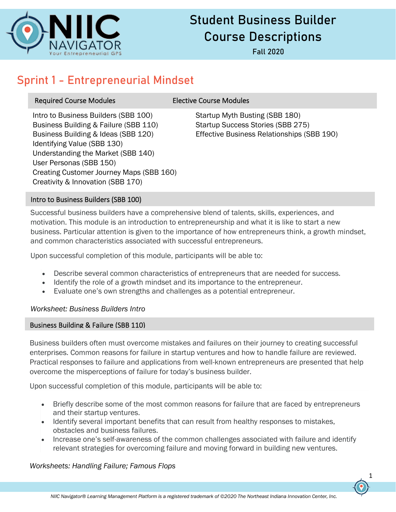

# Student Business Builder Course Descriptions

Fall 2020

# Sprint 1 - Entrepreneurial Mindset

# Required Course Modules **Elective Course Modules**

Intro to Business Builders (SBB 100) Startup Myth Busting (SBB 180) Business Building & Failure (SBB 110) Startup Success Stories (SBB 275) Identifying Value (SBB 130) Understanding the Market (SBB 140) User Personas (SBB 150) Creating Customer Journey Maps (SBB 160) Creativity & Innovation (SBB 170)

Business Building & Ideas (SBB 120) Effective Business Relationships (SBB 190)

# Intro to Business Builders (SBB 100)

Successful business builders have a comprehensive blend of talents, skills, experiences, and motivation. This module is an introduction to entrepreneurship and what it is like to start a new business. Particular attention is given to the importance of how entrepreneurs think, a growth mindset, and common characteristics associated with successful entrepreneurs.

Upon successful completion of this module, participants will be able to:

- Describe several common characteristics of entrepreneurs that are needed for success.
- Identify the role of a growth mindset and its importance to the entrepreneur.
- Evaluate one's own strengths and challenges as a potential entrepreneur.

# *Worksheet: Business Builders Intro*

# Business Building & Failure (SBB 110)

Business builders often must overcome mistakes and failures on their journey to creating successful enterprises. Common reasons for failure in startup ventures and how to handle failure are reviewed. Practical responses to failure and applications from well-known entrepreneurs are presented that help overcome the misperceptions of failure for today's business builder.

Upon successful completion of this module, participants will be able to:

- Briefly describe some of the most common reasons for failure that are faced by entrepreneurs and their startup ventures.
- Identify several important benefits that can result from healthy responses to mistakes, obstacles and business failures.
- Increase one's self-awareness of the common challenges associated with failure and identify relevant strategies for overcoming failure and moving forward in building new ventures.

# *Worksheets: Handling Failure; Famous Flops*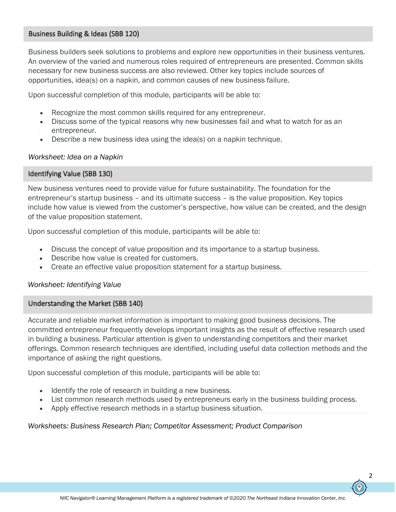#### Business Building & Ideas (SBB 120)

Business builders seek solutions to problems and explore new opportunities in their business ventures. An overview of the varied and numerous roles required of entrepreneurs are presented. Common skills necessary for new business success are also reviewed. Other key topics include sources of opportunities, idea(s) on a napkin, and common causes of new business failure.

Upon successful completion of this module, participants will be able to:

- Recognize the most common skills required for any entrepreneur.
- Discuss some of the typical reasons why new businesses fail and what to watch for as an entrepreneur.
- Describe a new business idea using the idea(s) on a napkin technique.

#### *Worksheet: Idea on a Napkin*

#### Identifying Value (SBB 130)

New business ventures need to provide value for future sustainability. The foundation for the entrepreneur's startup business – and its ultimate success – is the value proposition. Key topics include how value is viewed from the customer's perspective, how value can be created, and the design of the value proposition statement.

Upon successful completion of this module, participants will be able to:

- Discuss the concept of value proposition and its importance to a startup business.
- Describe how value is created for customers.
- Create an effective value proposition statement for a startup business.

#### *Worksheet: Identifying Value*

#### Understanding the Market (SBB 140)

Accurate and reliable market information is important to making good business decisions. The committed entrepreneur frequently develops important insights as the result of effective research used in building a business. Particular attention is given to understanding competitors and their market offerings. Common research techniques are identified, including useful data collection methods and the importance of asking the right questions.

Upon successful completion of this module, participants will be able to:

- Identify the role of research in building a new business.
- List common research methods used by entrepreneurs early in the business building process.
- Apply effective research methods in a startup business situation.

### *Worksheets: Business Research Plan; Competitor Assessment; Product Comparison*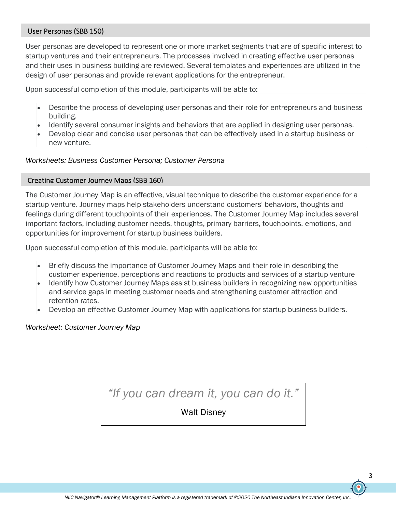#### User Personas (SBB 150)

User personas are developed to represent one or more market segments that are of specific interest to startup ventures and their entrepreneurs. The processes involved in creating effective user personas and their uses in business building are reviewed. Several templates and experiences are utilized in the design of user personas and provide relevant applications for the entrepreneur.

Upon successful completion of this module, participants will be able to:

- Describe the process of developing user personas and their role for entrepreneurs and business building.
- Identify several consumer insights and behaviors that are applied in designing user personas.
- Develop clear and concise user personas that can be effectively used in a startup business or new venture.

#### *Worksheets: Business Customer Persona; Customer Persona*

#### Creating Customer Journey Maps (SBB 160)

The Customer Journey Map is an effective, visual technique to describe the customer experience for a startup venture. Journey maps help stakeholders understand customers' behaviors, thoughts and feelings during different touchpoints of their experiences. The Customer Journey Map includes several important factors, including customer needs, thoughts, primary barriers, touchpoints, emotions, and opportunities for improvement for startup business builders.

Upon successful completion of this module, participants will be able to:

- Briefly discuss the importance of Customer Journey Maps and their role in describing the customer experience, perceptions and reactions to products and services of a startup venture
- Identify how Customer Journey Maps assist business builders in recognizing new opportunities and service gaps in meeting customer needs and strengthening customer attraction and retention rates.
- Develop an effective Customer Journey Map with applications for startup business builders.

*Worksheet: Customer Journey Map*

# *"If you can dream it, you can do it."*

Walt Disney

3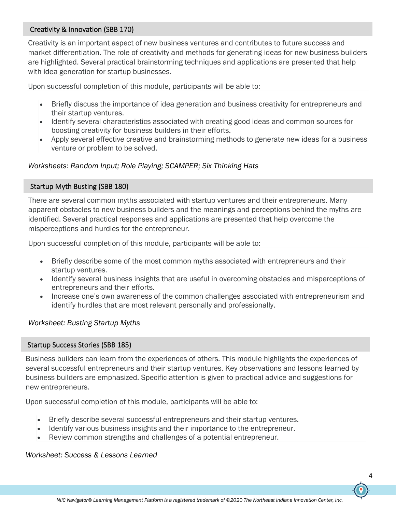# Creativity & Innovation (SBB 170)

Creativity is an important aspect of new business ventures and contributes to future success and market differentiation. The role of creativity and methods for generating ideas for new business builders are highlighted. Several practical brainstorming techniques and applications are presented that help with idea generation for startup businesses.

Upon successful completion of this module, participants will be able to:

- Briefly discuss the importance of idea generation and business creativity for entrepreneurs and their startup ventures.
- Identify several characteristics associated with creating good ideas and common sources for boosting creativity for business builders in their efforts.
- Apply several effective creative and brainstorming methods to generate new ideas for a business venture or problem to be solved.

### *Worksheets: Random Input; Role Playing; SCAMPER; Six Thinking Hats*

### Startup Myth Busting (SBB 180)

There are several common myths associated with startup ventures and their entrepreneurs. Many apparent obstacles to new business builders and the meanings and perceptions behind the myths are identified. Several practical responses and applications are presented that help overcome the misperceptions and hurdles for the entrepreneur.

Upon successful completion of this module, participants will be able to:

- Briefly describe some of the most common myths associated with entrepreneurs and their startup ventures.
- Identify several business insights that are useful in overcoming obstacles and misperceptions of entrepreneurs and their efforts.
- Increase one's own awareness of the common challenges associated with entrepreneurism and identify hurdles that are most relevant personally and professionally.

### *Worksheet: Busting Startup Myths*

#### Startup Success Stories (SBB 185)

Business builders can learn from the experiences of others. This module highlights the experiences of several successful entrepreneurs and their startup ventures. Key observations and lessons learned by business builders are emphasized. Specific attention is given to practical advice and suggestions for new entrepreneurs.

Upon successful completion of this module, participants will be able to:

- Briefly describe several successful entrepreneurs and their startup ventures.
- Identify various business insights and their importance to the entrepreneur.
- Review common strengths and challenges of a potential entrepreneur.

#### *Worksheet: Success & Lessons Learned*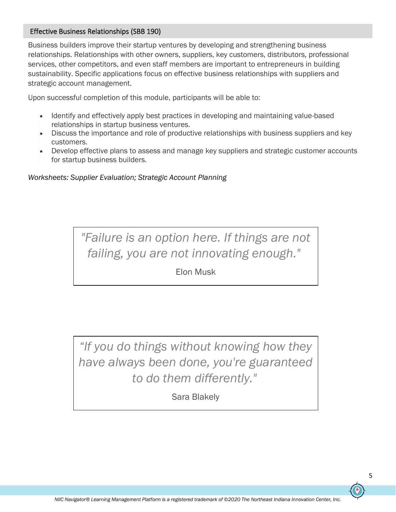# Effective Business Relationships (SBB 190)

Business builders improve their startup ventures by developing and strengthening business relationships. Relationships with other owners, suppliers, key customers, distributors, professional services, other competitors, and even staff members are important to entrepreneurs in building sustainability. Specific applications focus on effective business relationships with suppliers and strategic account management.

Upon successful completion of this module, participants will be able to:

- Identify and effectively apply best practices in developing and maintaining value-based relationships in startup business ventures.
- Discuss the importance and role of productive relationships with business suppliers and key customers.
- Develop effective plans to assess and manage key suppliers and strategic customer accounts for startup business builders.

*Worksheets: Supplier Evaluation; Strategic Account Planning*

*"Failure is an option here. If things are not failing, you are not innovating enough."*

Elon Musk

*"If you do things without knowing how they have always been done, you're guaranteed to do them differently."*

Sara Blakely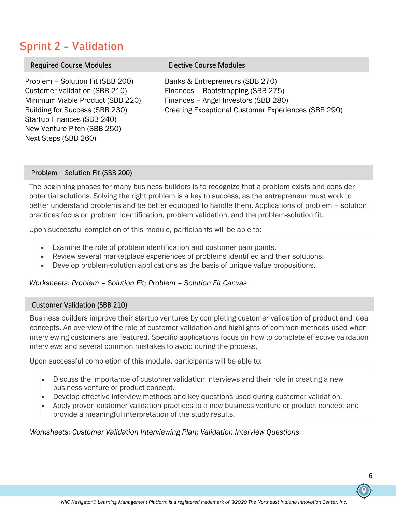# Sprint 2 - Validation

| <b>Required Course Modules</b>                                                                                                                                                                                                      | <b>Elective Course Modules</b>                                                                                                                                       |
|-------------------------------------------------------------------------------------------------------------------------------------------------------------------------------------------------------------------------------------|----------------------------------------------------------------------------------------------------------------------------------------------------------------------|
| Problem - Solution Fit (SBB 200)<br><b>Customer Validation (SBB 210)</b><br>Minimum Viable Product (SBB 220)<br>Building for Success (SBB 230)<br>Startup Finances (SBB 240)<br>New Venture Pitch (SBB 250)<br>Next Steps (SBB 260) | Banks & Entrepreneurs (SBB 270)<br>Finances - Bootstrapping (SBB 275)<br>Finances - Angel Investors (SBB 280)<br>Creating Exceptional Customer Experiences (SBB 290) |

#### Problem – Solution Fit (SBB 200)

The beginning phases for many business builders is to recognize that a problem exists and consider potential solutions. Solving the right problem is a key to success, as the entrepreneur must work to better understand problems and be better equipped to handle them. Applications of problem – solution practices focus on problem identification, problem validation, and the problem-solution fit.

Upon successful completion of this module, participants will be able to:

- Examine the role of problem identification and customer pain points.
- Review several marketplace experiences of problems identified and their solutions.
- Develop problem-solution applications as the basis of unique value propositions.

### *Worksheets: Problem – Solution Fit; Problem – Solution Fit Canvas*

### Customer Validation (SBB 210)

Business builders improve their startup ventures by completing customer validation of product and idea concepts. An overview of the role of customer validation and highlights of common methods used when interviewing customers are featured. Specific applications focus on how to complete effective validation interviews and several common mistakes to avoid during the process.

Upon successful completion of this module, participants will be able to:

- Discuss the importance of customer validation interviews and their role in creating a new business venture or product concept.
- Develop effective interview methods and key questions used during customer validation.
- Apply proven customer validation practices to a new business venture or product concept and provide a meaningful interpretation of the study results.

*Worksheets: Customer Validation Interviewing Plan; Validation Interview Questions*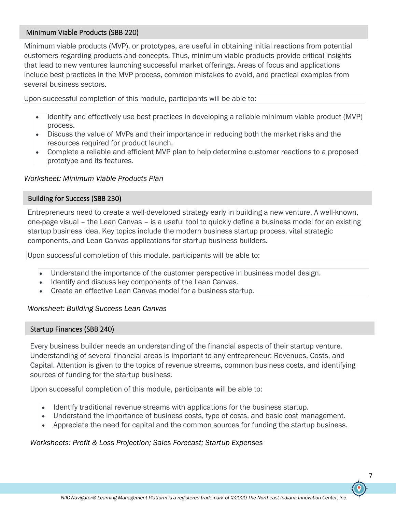# Minimum Viable Products (SBB 220)

Minimum viable products (MVP), or prototypes, are useful in obtaining initial reactions from potential customers regarding products and concepts. Thus, minimum viable products provide critical insights that lead to new ventures launching successful market offerings. Areas of focus and applications include best practices in the MVP process, common mistakes to avoid, and practical examples from several business sectors.

Upon successful completion of this module, participants will be able to:

- Identify and effectively use best practices in developing a reliable minimum viable product (MVP) process.
- Discuss the value of MVPs and their importance in reducing both the market risks and the resources required for product launch.
- Complete a reliable and efficient MVP plan to help determine customer reactions to a proposed prototype and its features.

#### *Worksheet: Minimum Viable Products Plan*

#### Building for Success (SBB 230)

Entrepreneurs need to create a well-developed strategy early in building a new venture. A well-known, one-page visual – the Lean Canvas – is a useful tool to quickly define a business model for an existing startup business idea. Key topics include the modern business startup process, vital strategic components, and Lean Canvas applications for startup business builders.

Upon successful completion of this module, participants will be able to:

- Understand the importance of the customer perspective in business model design.
- Identify and discuss key components of the Lean Canvas.
- Create an effective Lean Canvas model for a business startup.

#### *Worksheet: Building Success Lean Canvas*

### Startup Finances (SBB 240)

Every business builder needs an understanding of the financial aspects of their startup venture. Understanding of several financial areas is important to any entrepreneur: Revenues, Costs, and Capital. Attention is given to the topics of revenue streams, common business costs, and identifying sources of funding for the startup business.

Upon successful completion of this module, participants will be able to:

- Identify traditional revenue streams with applications for the business startup.
- Understand the importance of business costs, type of costs, and basic cost management.
- Appreciate the need for capital and the common sources for funding the startup business.

### *Worksheets: Profit & Loss Projection; Sales Forecast; Startup Expenses*

7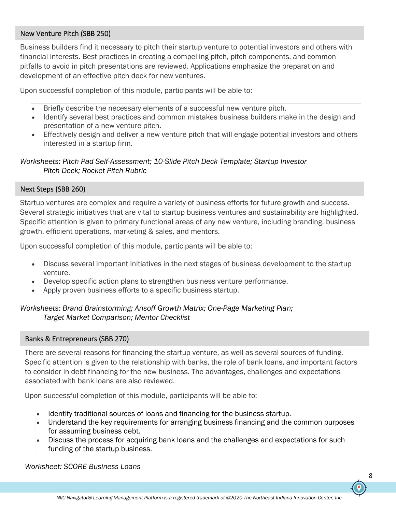### New Venture Pitch (SBB 250)

Business builders find it necessary to pitch their startup venture to potential investors and others with financial interests. Best practices in creating a compelling pitch, pitch components, and common pitfalls to avoid in pitch presentations are reviewed. Applications emphasize the preparation and development of an effective pitch deck for new ventures.

Upon successful completion of this module, participants will be able to:

- Briefly describe the necessary elements of a successful new venture pitch.
- Identify several best practices and common mistakes business builders make in the design and presentation of a new venture pitch.
- Effectively design and deliver a new venture pitch that will engage potential investors and others interested in a startup firm.

*Worksheets: Pitch Pad Self-Assessment; 10-Slide Pitch Deck Template; Startup Investor Pitch Deck; Rocket Pitch Rubric*

# Next Steps (SBB 260)

Startup ventures are complex and require a variety of business efforts for future growth and success. Several strategic initiatives that are vital to startup business ventures and sustainability are highlighted. Specific attention is given to primary functional areas of any new venture, including branding, business growth, efficient operations, marketing & sales, and mentors.

Upon successful completion of this module, participants will be able to:

- Discuss several important initiatives in the next stages of business development to the startup venture.
- Develop specific action plans to strengthen business venture performance.
- Apply proven business efforts to a specific business startup.

*Worksheets: Brand Brainstorming; Ansoff Growth Matrix; One-Page Marketing Plan; Target Market Comparison; Mentor Checklist*

### Banks & Entrepreneurs (SBB 270)

There are several reasons for financing the startup venture, as well as several sources of funding. Specific attention is given to the relationship with banks, the role of bank loans, and important factors to consider in debt financing for the new business. The advantages, challenges and expectations associated with bank loans are also reviewed.

Upon successful completion of this module, participants will be able to:

- Identify traditional sources of loans and financing for the business startup.
- Understand the key requirements for arranging business financing and the common purposes for assuming business debt.
- Discuss the process for acquiring bank loans and the challenges and expectations for such funding of the startup business.

*Worksheet: SCORE Business Loans*